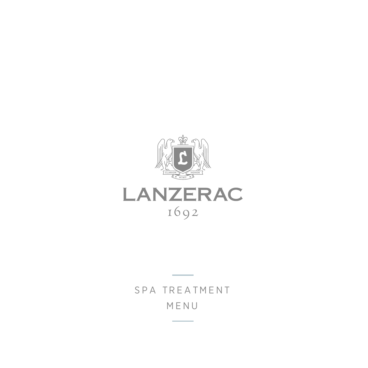

# SPA TREATMENT M E N U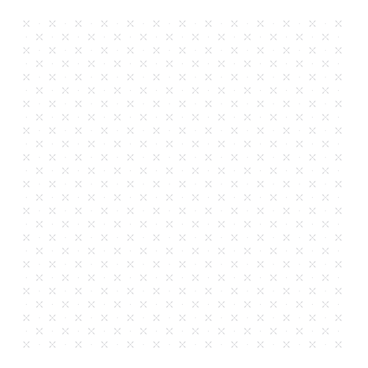$\mathcal{L}_{\rm{max}}$  $\nabla_{\!\alpha}$  $\overline{V}^{\ast}_{\rm in}$  .  $\mathbb{Z}$  $\mathbb{R}$ the control  $\mathbb{Z}$  $\mathbb{Z}$ and the a sa T  $\mathbf{X} \times \mathbf{X} \times \mathbf{X} \times \mathbf{X} \times \mathbf{X} \times \mathbf{X} \times \mathbf{X} \times \mathbf{X} \times \mathbf{X} \times \mathbf{X} \times \mathbf{X} \times \mathbf{X}$  $\mathbb{P}^1 \times \mathbb{X}^1 \times \mathbb{X}^2 \times \mathbb{X}^3 \times \mathbb{X}^4 \times \mathbb{X}^3 \times \mathbb{X}^4 \times \mathbb{X}^5 \times \mathbb{X}^4 \times \mathbb{X}^5 \times \mathbb{X}^6 \times \mathbb{X}^7$  $\mathbf{X} \times \mathbf{X} \times \mathbf{X} \times \mathbf{X} \times \mathbf{X} \times \mathbf{X} \times \mathbf{X} \times \mathbf{X} \times \mathbf{X} \times \mathbf{X} \times \mathbf{X} \times \mathbf{X} \times \mathbf{X}$  $\zeta \rightarrow \zeta$  $\mathbf{X} \times \mathbf{X} \times \mathbf{X} \times \mathbf{X} \times \mathbf{X} \times \mathbf{X} \times \mathbf{X} \times \mathbf{X} \times \mathbf{X} \times \mathbf{X} \times \mathbf{X} \times \mathbf{X} \times \mathbf{X}$  $\zeta \rightarrow \zeta$  $\mathbf{X} \times \mathbf{X} \times \mathbf{X} \times \mathbf{X} \times \mathbf{X} \times \mathbf{X} \times \mathbf{X} \times \mathbf{X} \times \mathbf{X} \times \mathbf{X} \times \mathbf{X} \times \mathbf{X} \times \mathbf{X} \times \mathbf{X}$  $\mathbb{P}^1 \times \mathbb{X}^1 \times \mathbb{X}^2 \times \mathbb{X}^3 \times \mathbb{X}^4 \times \mathbb{X}^3 \times \mathbb{X}^4 \times \mathbb{X}^5 \times \mathbb{X}^4 \times \mathbb{X}^5 \times \mathbb{X}^6 \times \mathbb{X}^7$  $\mathbf{X} \times \mathbf{X} \times \mathbf{X} \times \mathbf{X} \times \mathbf{X} \times \mathbf{X} \times \mathbf{X} \times \mathbf{X} \times \mathbf{X} \times \mathbf{X} \times \mathbf{X} \times \mathbf{X} \times \mathbf{X}$  $\mathbb{P}^1 \times \mathbb{X}^1 \times \mathbb{X}^2 \times \mathbb{X}^3 \times \mathbb{X}^4 \times \mathbb{X}^3 \times \mathbb{X}^4 \times \mathbb{X}^5 \times \mathbb{X}^4 \times \mathbb{X}^5 \times \mathbb{X}^6 \times \mathbb{X}^7$  $\mathbf{X} \times \mathbf{X} \times \mathbf{X} \times \mathbf{X} \times \mathbf{X} \times \mathbf{X} \times \mathbf{X} \times \mathbf{X} \times \mathbf{X} \times \mathbf{X} \times \mathbf{X} \times \mathbf{X} \times \mathbf{X} \times \mathbf{X} \times \mathbf{X} \times \mathbf{X} \times \mathbf{X} \times \mathbf{X} \times \mathbf{X} \times \mathbf{X} \times \mathbf{X} \times \mathbf{X} \times \mathbf{X} \times \mathbf{X} \times \mathbf{X} \times \mathbf{X} \times \mathbf{X} \times \mathbf{$ in and  $\mathbb{P}^1 \times \mathbb{X}^1 \times \mathbb{X}^2 \times \mathbb{X}^3 \times \mathbb{X}^4 \times \mathbb{X}^3 \times \mathbb{X}^4 \times \mathbb{X}^5 \times \mathbb{X}^4 \times \mathbb{X}^5 \times \mathbb{X}^6 \times \mathbb{X}^7$  $\mathbb{C} X \times \mathbb{X} \times \mathbb{X} \times \mathbb{X} \times \mathbb{X} \times \mathbb{X} \times \mathbb{X} \times \mathbb{X} \times \mathbb{X} \times \mathbb{X} \times \mathbb{X} \times \mathbb{X} \times$ in and  $\mathbb{P}^1 \times \mathbb{X}^1 \times \mathbb{X}^2 \times \mathbb{X}^3 \times \mathbb{X}^4 \times \mathbb{X}^3 \times \mathbb{X}^4 \times \mathbb{X}^5 \times \mathbb{X}^4 \times \mathbb{X}^5 \times \mathbb{X}^6 \times \mathbb{X}^7$  $\mathbf{X} \times \mathbf{X} \times \mathbf{X} \times \mathbf{X} \times \mathbf{X} \times \mathbf{X} \times \mathbf{X} \times \mathbf{X} \times \mathbf{X} \times \mathbf{X} \times \mathbf{X} \times \mathbf{X} \times \mathbf{X}$ f<br>1  $\mathbb{P}^1 \times \mathbb{X}^1 \times \mathbb{X}^2 \times \mathbb{X}^3 \times \mathbb{X}^4 \times \mathbb{X}^3 \times \mathbb{X}^4 \times \mathbb{X}^5 \times \mathbb{X}^4 \times \mathbb{X}^5 \times \mathbb{X}^6 \times \mathbb{X}^7$  $\mathbf{X} \times \mathbf{X} \times \mathbf{X} \times \mathbf{X} \times \mathbf{X} \times \mathbf{X} \times \mathbf{X} \times \mathbf{X} \times \mathbf{X} \times \mathbf{X} \times \mathbf{X} \times \mathbf{X}$ - X - X  $\mathbb{P}^1 \times \mathbb{X}^1 \times \mathbb{X}^2 \times \mathbb{X}^3 \times \mathbb{X}^4 \times \mathbb{X}^3 \times \mathbb{X}^4 \times \mathbb{X}^5 \times \mathbb{X}^4 \times \mathbb{X}^5 \times \mathbb{X}^6 \times \mathbb{X}^7$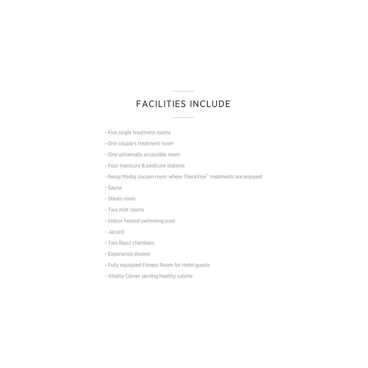## FACILITIES INCLUDE

- Five single treatment rooms
- One couple's treatment room
- One universally accessible room
- Four manicure & pedicure stations
- Neoqi Mediq cocoon room where TheraVine<sup>"</sup> treatments are enjoyed
- Sauna
- Steam room
- Two mist rooms
- Indoor heated swimming pool
- Jacuzzi
- Two Rasul chambers
- Experience shower
- Fully equipped Fitness Room for Hotel guests
- Vitality Corner serving healthy cuisine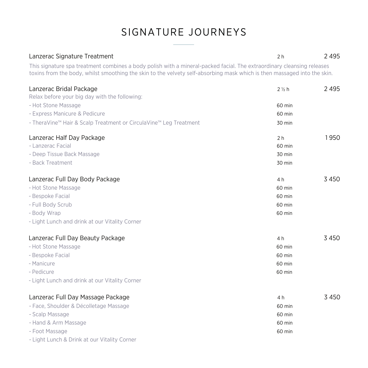# SIGNATURE JOURNEYS

| Lanzerac Signature Treatment                                                                                                                                                                                                                       | 2 <sub>h</sub>           | 2495    |
|----------------------------------------------------------------------------------------------------------------------------------------------------------------------------------------------------------------------------------------------------|--------------------------|---------|
| This signature spa treatment combines a body polish with a mineral-packed facial. The extraordinary cleansing releases<br>toxins from the body, whilst smoothing the skin to the velvety self-absorbing mask which is then massaged into the skin. |                          |         |
| Lanzerac Bridal Package<br>Relax before your big day with the following:                                                                                                                                                                           | $2\frac{1}{2}h$          | 2495    |
| - Hot Stone Massage                                                                                                                                                                                                                                | 60 min                   |         |
| - Express Manicure & Pedicure                                                                                                                                                                                                                      | 60 min                   |         |
| - TheraVine™ Hair & Scalp Treatment or CirculaVine™ Leg Treatment                                                                                                                                                                                  | 30 min                   |         |
| Lanzerac Half Day Package<br>- Lanzerac Facial                                                                                                                                                                                                     | 2 <sub>h</sub><br>60 min | 1950    |
| - Deep Tissue Back Massage                                                                                                                                                                                                                         | 30 min                   |         |
| - Back Treatment                                                                                                                                                                                                                                   | 30 min                   |         |
| Lanzerac Full Day Body Package                                                                                                                                                                                                                     | 4 h                      | 3 4 5 0 |
| - Hot Stone Massage                                                                                                                                                                                                                                | 60 min                   |         |
| - Bespoke Facial                                                                                                                                                                                                                                   | 60 min                   |         |
| - Full Body Scrub                                                                                                                                                                                                                                  | 60 min                   |         |
| - Body Wrap                                                                                                                                                                                                                                        | 60 min                   |         |
| - Light Lunch and drink at our Vitality Corner                                                                                                                                                                                                     |                          |         |
| Lanzerac Full Day Beauty Package                                                                                                                                                                                                                   | 4 h                      | 3 4 5 0 |
| - Hot Stone Massage                                                                                                                                                                                                                                | 60 min                   |         |
| - Bespoke Facial                                                                                                                                                                                                                                   | 60 min                   |         |
| - Manicure                                                                                                                                                                                                                                         | 60 min                   |         |
| - Pedicure                                                                                                                                                                                                                                         | 60 min                   |         |
| - Light Lunch and drink at our Vitality Corner                                                                                                                                                                                                     |                          |         |
| Lanzerac Full Day Massage Package                                                                                                                                                                                                                  | 4 h                      | 3450    |
| - Face, Shoulder & Décolletage Massage                                                                                                                                                                                                             | 60 min                   |         |
| - Scalp Massage                                                                                                                                                                                                                                    | 60 min                   |         |
| - Hand & Arm Massage                                                                                                                                                                                                                               | 60 min                   |         |
| - Foot Massage                                                                                                                                                                                                                                     | 60 min                   |         |
| - Light Lunch & Drink at our Vitality Corner                                                                                                                                                                                                       |                          |         |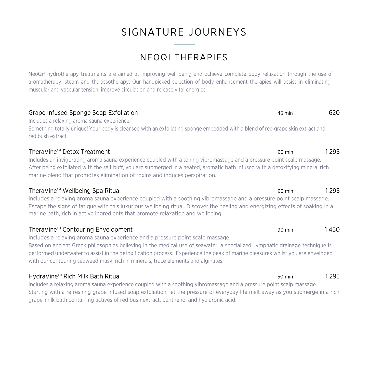# SIGNATURE JOURNEYS

## NEOQI THERAPIES

NeoQi® hydrotherapy treatments are aimed at improving well-being and achieve complete body relaxation through the use of aromatherapy, steam and thalassotherapy. Our handpicked selection of body enhancement therapies will assist in eliminating muscular and vascular tension, improve circulation and release vital energies.

### Grape Infused Sponge Soap Exfoliation 45 min 45 min 45 min 620

Includes a relaxing aroma sauna experience.

Something totally unique! Your body is cleansed with an exfoliating sponge embedded with a blend of red grape skin extract and red bush extract.

### TheraVine™ Detox Treatment 90 min 1 295

Includes an invigorating aroma sauna experience coupled with a toning vibromassage and a pressure point scalp massage. After being exfoliated with the salt buff, you are submerged in a heated, aromatic bath infused with a detoxifying mineral rich marine blend that promotes elimination of toxins and induces perspiration.

### TheraVine™ Wellbeing Spa Ritual 90 min 1 295

Includes a relaxing aroma sauna experience coupled with a soothing vibromassage and a pressure point scalp massage. Escape the signs of fatique with this luxurious wellbeing ritual. Discover the healing and energizing effects of soaking in a marine bath, rich in active ingredients that promote relaxation and wellbeing.

## TheraVine™ Contouring Envelopment 1450 and 1450 min 1450

Includes a relaxing aroma sauna experience and a pressure point scalp massage.

Based on ancient Greek philosophies believing in the medical use of seawater, a specialized, lymphatic drainage technique is performed underwater to assist in the detoxification process. Experience the peak of marine pleasures whilst you are enveloped with our contouring seaweed mask, rich in minerals, trace elements and alginates.

### HydraVine™ Rich Milk Bath Ritual 50 min 1 295

Includes a relaxing aroma sauna experience coupled with a soothing vibromassage and a pressure point scalp massage. Starting with a refreshing grape infused soap exfoliation, let the pressure of everyday life melt away as you submerge in a rich grape-milk bath containing actives of red bush extract, panthenol and hyaluronic acid.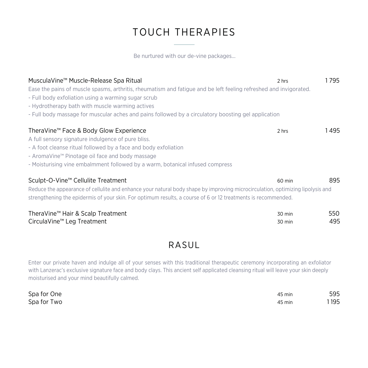# TOUCH THERAPIES

Be nurtured with our de-vine packages...

| Muscula Vine™ Muscle-Release Spa Ritual<br>Ease the pains of muscle spasms, arthritis, rheumatism and fatigue and be left feeling refreshed and invigorated.<br>- Full body exfoliation using a warming sugar scrub<br>- Hydrotherapy bath with muscle warming actives<br>- Full body massage for muscular aches and pains followed by a circulatory boosting gel application | 2 hrs            | 1795       |
|-------------------------------------------------------------------------------------------------------------------------------------------------------------------------------------------------------------------------------------------------------------------------------------------------------------------------------------------------------------------------------|------------------|------------|
| TheraVine™ Face & Body Glow Experience<br>A full sensory signature indulgence of pure bliss.<br>- A foot cleanse ritual followed by a face and body exfoliation<br>- AromaVine™ Pinotage oil face and body massage<br>- Moisturising vine embalmment followed by a warm, botanical infused compress                                                                           | 2 hrs            | 1 4 9 5    |
| Sculpt-O-Vine™ Cellulite Treatment<br>Reduce the appearance of cellulite and enhance your natural body shape by improving microcirculation, optimizing lipolysis and<br>strengthening the epidermis of your skin. For optimum results, a course of 6 or 12 treatments is recommended.                                                                                         | 60 min           | 895        |
| TheraVine <sup>™</sup> Hair & Scalp Treatment<br>CirculaVine™ Leg Treatment                                                                                                                                                                                                                                                                                                   | 30 min<br>30 min | 550<br>495 |

## RASUL

Enter our private haven and indulge all of your senses with this traditional therapeutic ceremony incorporating an exfoliator with Lanzerac's exclusive signature face and body clays. This ancient self applicated cleansing ritual will leave your skin deeply moisturised and your mind beautifully calmed.

| Spa for One | 45 min | 595 |
|-------------|--------|-----|
| Spa for Two | 45 min | 195 |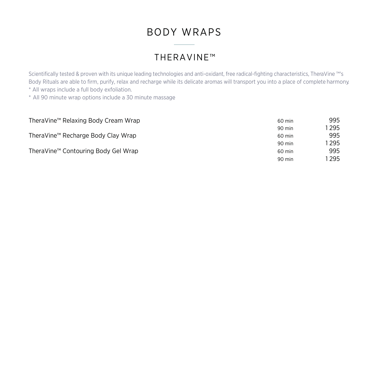# BODY WRAPS

## THERAVINE™

Scientifically tested & proven with its unique leading technologies and anti-oxidant, free radical-fighting characteristics, TheraVine ™'s Body Rituals are able to firm, purify, relax and recharge while its delicate aromas will transport you into a place of complete harmony. \* All wraps include a full body exfoliation.

\* All 90 minute wrap options include a 30 minute massage.

| TheraVine™ Relaxing Body Cream Wrap | 60 min           | 995     |
|-------------------------------------|------------------|---------|
|                                     | 90 min           | l 295   |
| TheraVine™ Recharge Body Clay Wrap  | 60 min           | 995     |
|                                     | $90 \text{ min}$ | 1 2 9 5 |
| TheraVine™ Contouring Body Gel Wrap | 60 min           | 995     |
|                                     | $90$ min         | l 295   |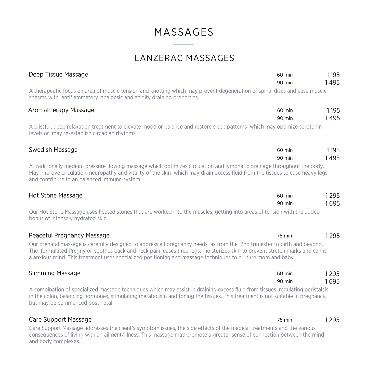# MASSAGES

# LANZERAC MASSAGES

| Deep Tissue Massage                                                                                                                                                                                                                                                                                                                                                    | 60 min<br>$90$ min | 1195<br>1495 |
|------------------------------------------------------------------------------------------------------------------------------------------------------------------------------------------------------------------------------------------------------------------------------------------------------------------------------------------------------------------------|--------------------|--------------|
| A therapeutic focus on area of muscle tension and knotting which may prevent degeneration of spinal discs and ease muscle<br>spasms with antiflammatory, analgesic and acidity draining properties.                                                                                                                                                                    |                    |              |
| Aromatherapy Massage                                                                                                                                                                                                                                                                                                                                                   | 60 min             | 1195         |
|                                                                                                                                                                                                                                                                                                                                                                        | $90$ min           | 1495         |
| A blissful, deep relaxation treatment to elevate mood or balance and restore sleep patterns which may optimize serotonin<br>levels or may re-establish circadian rhythms.                                                                                                                                                                                              |                    |              |
| Swedish Massage                                                                                                                                                                                                                                                                                                                                                        | 60 min             | 1195         |
|                                                                                                                                                                                                                                                                                                                                                                        | $90$ min           | 1495         |
| A traditionally medium pressure flowing massage which optimizes circulation and lymphatic drainage throughout the body.<br>May improve circulation, neuropathy and vitality of the skin which may drain excess fluid from the tissues to ease heavy legs<br>and contribute to an balanced immune system.                                                               |                    |              |
| Hot Stone Massage                                                                                                                                                                                                                                                                                                                                                      | 60 min             | 1295         |
|                                                                                                                                                                                                                                                                                                                                                                        | $90$ min           | 1695         |
| Our Hot Stone Massage uses heated stones that are worked into the muscles, getting into areas of tension with the added<br>bonus of intensely hydrated skin.                                                                                                                                                                                                           |                    |              |
| Peaceful Pregnancy Massage                                                                                                                                                                                                                                                                                                                                             | 75 min             | 1295         |
| Our prenatal massage is carefully designed to address all pregnancy needs as from the 2nd trimester to birth and beyond.<br>The formulated Pregny oil soothes back and neck pain, eases tired legs, moisturizes skin to prevent stretch marks and calms<br>a anxious mind. This treatment uses specialized positioning and massage techniques to nurture mom and baby. |                    |              |
| <b>Slimming Massage</b>                                                                                                                                                                                                                                                                                                                                                | 60 min             | 1295         |
|                                                                                                                                                                                                                                                                                                                                                                        | $90$ min           | 1695         |
| A combination of specialized massage techniques which may assist in draining excess fluid from tissues, regulating peristalsis<br>in the colon, balancing hormones, stimulating metabolism and toning the tissues. This treatment is not suitable in pregnancy,<br>but may be commenced post natal.                                                                    |                    |              |
| Care Support Massage                                                                                                                                                                                                                                                                                                                                                   | 75 min             | 1295         |
| Care Support Massage addresses the client's symptom issues, the side effects of the medical treatments and the various<br>consequences of living with an ailment/illness. This massage may promote a greater sense of connection between the mind                                                                                                                      |                    |              |

and body complexes.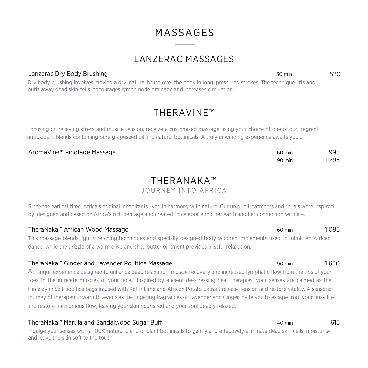# MASSAGES

## LANZERAC MASSAGES

### Lanzerac Dry Body Brushing 30 min 520

Dry body brushing involves moving a dry, natural brush over the body in long, pressured strokes. The technique lifts and buffs away dead skin cells, encourages lymph node drainage and increases circulation.

## THERAVINE™

Focusing on relieving stress and muscle tension, receive a customised massage using your choice of one of our fragrant antioxidant blends containing pure grapeseed oil and natural botanicals. A truly unwinding experience awaits you…

### AromaVine™ Pinotage Massage 60 min 60 min 995

| THFRANAKA™ |  |
|------------|--|

## JOURNEY INTO AFRICA

Since the earliest time, Africa's original inhabitants lived in harmony with nature. Our unique treatments and rituals were inspired by, designed and based on Africa's rich heritage and created to celebrate mother earth and her connection with life.

## TheraNaka™ African Wood Massage 60 min 1 095

This massage blends light stretching techniques and specially designed body wooden implements used to mimic an African dance, while the drizzle of a warm olive and shea butter ointment provides blissful relaxation.

## TheraNaka™ Ginger and Lavender Poultice Massage

A tranquil experience designed to enhance deep relaxation, muscle recovery and increased lymphatic flow from the tips of your toes to the intricate muscles of your face. Inspired by ancient de-stressing heat therapies, your senses are calmed as the journey of therapeutic warmth awaits as the lingering fragrances of Lavender and Ginger invite you to escape from your busy life Himalayan Salt poultice bags infused with Keffir Lime and African Potato Extract release tension and restore vitality. A sensorial and restore harmonious flow, leaving your skin nourished and your soul deeply relaxed.

## TheraNaka™ Marula and Sandalwood Sugar Buff

Indulge your senses with a 100% natural blend of plant botanicals to gently and effectively eliminate dead skin cells, moisturise and leave the skin soft to the touch.

40 min 615

90 min 1 295

### 90 min 1 650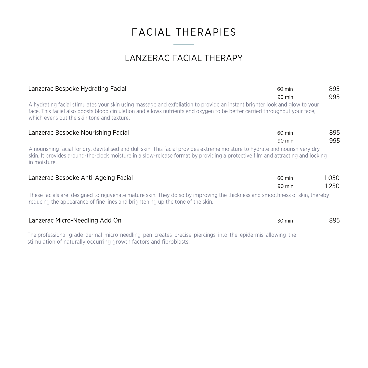# LANZERAC FACIAL THERAPY

| Lanzerac Bespoke Hydrating Facial                                                                                                                                                                                                                                                                      | 60 min<br>90 min | 895<br>995 |
|--------------------------------------------------------------------------------------------------------------------------------------------------------------------------------------------------------------------------------------------------------------------------------------------------------|------------------|------------|
| A hydrating facial stimulates your skin using massage and exfoliation to provide an instant brighter look and glow to your<br>face. This facial also boosts blood circulation and allows nutrients and oxygen to be better carried throughout your face,<br>which evens out the skin tone and texture. |                  |            |
| Lanzerac Bespoke Nourishing Facial                                                                                                                                                                                                                                                                     | 60 min           | 895        |
|                                                                                                                                                                                                                                                                                                        | 90 min           | 995        |
| A nourishing facial for dry, devitalised and dull skin. This facial provides extreme moisture to hydrate and nourish very dry<br>skin. It provides around-the-clock moisture in a slow-release format by providing a protective film and attracting and locking<br>in moisture.                        |                  |            |
| Lanzerac Bespoke Anti-Ageing Facial                                                                                                                                                                                                                                                                    | 60 min           | 1 0 5 0    |
|                                                                                                                                                                                                                                                                                                        | 90 min           | 1 250      |
| These facials are designed to rejuvenate mature skin. They do so by improving the thickness and smoothness of skin, thereby<br>reducing the appearance of fine lines and brightening up the tone of the skin.                                                                                          |                  |            |
| Lanzerac Micro-Needling Add On                                                                                                                                                                                                                                                                         | 30 min           | 895        |
| The professional grade dermal micro-peedling pen creates precise piercings into the epidermis allowing the                                                                                                                                                                                             |                  |            |

The professional grade dermal micro-needling pen creates precise piercings into the epidermis allowing the stimulation of naturally occurring growth factors and fibroblasts.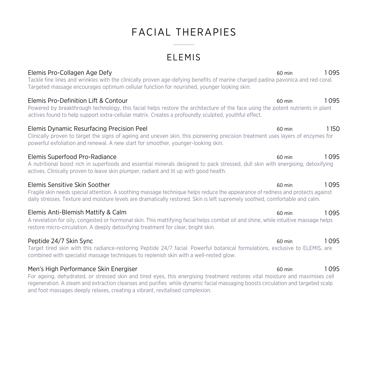# ELEMIS

## Elemis Pro-Collagen Age Defy

 60 min 1 095 Tackle fine lines and wrinkles with the clinically proven age-defying benefits of marine charged padina pavonica and red coral. Targeted massage encourages optimum cellular function for nourished, younger looking skin.

## Elemis Pro-Definition Lift & Contour

Powered by breakthrough technology, this facial helps restore the architecture of the face using the potent nutrients in plant actives found to help support extra-cellular matrix. Creates a profoundly sculpted, youthful effect.

## Elemis Dynamic Resurfacing Precision Peel 60 min 1 150

Clinically proven to target the signs of ageing and uneven skin, this pioneering precision treatment uses layers of enzymes for powerful exfoliation and renewal. A new start for smoother, younger-looking skin.

## Elemis Superfood Pro-Radiance 60 min 1 095

A nutritional boost rich in superfoods and essential minerals designed to pack stressed, dull skin with energising, detoxifying actives. Clinically proven to leave skin plumper, radiant and lit up with good health.

## Elemis Sensitive Skin Soother

Fragile skin needs special attention. A soothing massage technique helps reduce the appearance of redness and protects against daily stresses. Texture and moisture levels are dramatically restored. Skin is left supremely soothed, comfortable and calm.

## Elemis Anti-Blemish Mattify & Calm

A revelation for oily, congested or hormonal skin. This mattifying facial helps combat oil and shine, while intuitive massage helps restore micro-circulation. A deeply detoxifying treatment for clear, bright skin.

## Peptide 24/7 Skin Sync 60 min 1 095

Target tired skin with this radiance-restoring Peptide 24/7 facial. Powerful botanical formulations, exclusive to ELEMIS, are combined with specialist massage techniques to replenish skin with a well-rested glow.

## Men's High Performance Skin Energiser 60 min 1 095

For ageing, dehydrated, or stressed skin and tired eyes, this energising treatment restores vital moisture and maximises cell regeneration. A steam and extraction cleanses and purifies while dynamic facial massaging boosts circulation and targeted scalp and foot massages deeply relaxes, creating a vibrant, revitalised complexion.

60 min 1 095

### 60 min 1 095

## 60 min 1 095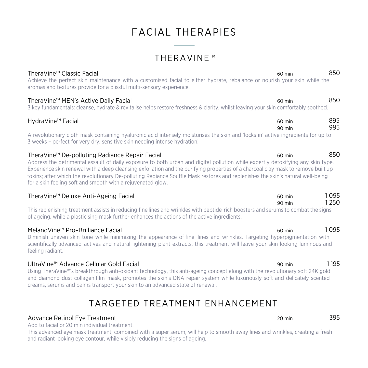## THERAVINE™

| TheraVine™ Classic Facial                                                                                                                                                                                                                                                                                                                                                                                                                                                                                                | $60 \text{ min}$           | 850        |
|--------------------------------------------------------------------------------------------------------------------------------------------------------------------------------------------------------------------------------------------------------------------------------------------------------------------------------------------------------------------------------------------------------------------------------------------------------------------------------------------------------------------------|----------------------------|------------|
| Achieve the perfect skin maintenance with a customised facial to either hydrate, rebalance or nourish your skin while the<br>aromas and textures provide for a blissful multi-sensory experience.                                                                                                                                                                                                                                                                                                                        |                            |            |
| TheraVine™ MEN's Active Daily Facial<br>3 key fundamentals: cleanse, hydrate & revitalise helps restore freshness & clarity, whilst leaving your skin comfortably soothed.                                                                                                                                                                                                                                                                                                                                               | 60 min                     | 850        |
| HydraVine <sup>™</sup> Facial                                                                                                                                                                                                                                                                                                                                                                                                                                                                                            | 60 min<br>$90 \text{ min}$ | 895<br>995 |
| A revolutionary cloth mask containing hyaluronic acid intensely moisturises the skin and 'locks in' active ingredients for up to<br>3 weeks – perfect for very dry, sensitive skin needing intense hydration!                                                                                                                                                                                                                                                                                                            |                            |            |
| TheraVine™ De-polluting Radiance Repair Facial<br>Address the detrimental assault of daily exposure to both urban and digital pollution while expertly detoxifying any skin type.<br>Experience skin renewal with a deep cleansing exfoliation and the purifying properties of a charcoal clay mask to remove built up<br>toxins; after which the revolutionary De-polluting Radiance Souffle Mask restores and replenishes the skin's natural well-being<br>for a skin feeling soft and smooth with a rejuvenated glow. | $60 \text{ min}$           | 850        |
|                                                                                                                                                                                                                                                                                                                                                                                                                                                                                                                          |                            |            |

# TheraVine™ Deluxe Anti-Ageing Facial 60 min 1 095<br>1 250 min 1 095

This replenishing treatment assists in reducing fine lines and wrinkles with peptide-rich boosters and serums to combat the signs of ageing, while a plasticising mask further enhances the actions of the active ingredients.

## MelanoVine™ Pro–Brilliance Facial 60 min 1 095

Diminish uneven skin tone while minimizing the appearance of fine lines and wrinkles. Targeting hyperpigmentation with scientifically advanced actives and natural lightening plant extracts, this treatment will leave your skin looking luminous and feeling radiant.

### UltraVine™ Advance Cellular Gold Facial 90 min 1 195

Using TheraVine™'s breakthrough anti-oxidant technology, this anti-ageing concept along with the revolutionary soft 24K gold and diamond dust collagen film mask, promotes the skin's DNA repair system while luxuriously soft and delicately scented creams, serums and balms transport your skin to an advanced state of renewal.

# TARGETED TREATMENT ENHANCEMENT

## Advance Retinol Eye Treatment 20 min 20 min 395

Add to facial or 20 min individual treatment.

This advanced eye mask treatment, combined with a super serum, will help to smooth away lines and wrinkles, creating a fresh and radiant looking eye contour, while visibly reducing the signs of ageing.

90 min 1 250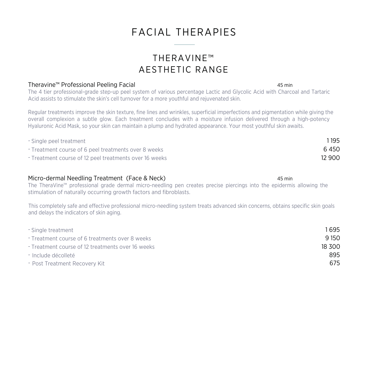## THERAVINE™ AESTHETIC RANGE

### Theravine™ Professional Peeling Facial 45 min

The 4 tier professional-grade step-up peel system of various percentage Lactic and Glycolic Acid with Charcoal and Tartaric Acid assists to stimulate the skin's cell turnover for a more youthful and rejuvenated skin.

Regular treatments improve the skin texture, fine lines and wrinkles, superficial imperfections and pigmentation while giving the overall complexion a subtle glow. Each treatment concludes with a moisture infusion delivered through a high-potency Hyaluronic Acid Mask, so your skin can maintain a plump and hydrated appearance. Your most youthful skin awaits.

| - Single peel treatment                                | 1 1 9 5 |
|--------------------------------------------------------|---------|
| - Treatment course of 6 peel treatments over 8 weeks   | 6450    |
| - Treatment course of 12 peel treatments over 16 weeks | 12 900  |

### Micro-dermal Needling Treatment (Face & Neck) 45 min

The TheraVine™ professional grade dermal micro-needling pen creates precise piercings into the epidermis allowing the stimulation of naturally occurring growth factors and fibroblasts.

This completely safe and effective professional micro-needling system treats advanced skin concerns, obtains specific skin goals and delays the indicators of skin aging.

| - Single treatment                                | 1 695  |
|---------------------------------------------------|--------|
| - Treatment course of 6 treatments over 8 weeks   | 9 150  |
| - Treatment course of 12 treatments over 16 weeks | 18.300 |
| - Include décolleté                               | 895    |
| - Post Treatment Recovery Kit                     | 675    |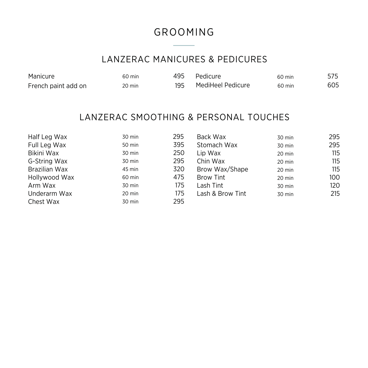# GROOMING

# LANZERAC MANICURES & PEDICURES

| Manicure            | 60 min | 495 | Pedicure          | 60 min | 575 |
|---------------------|--------|-----|-------------------|--------|-----|
| French paint add on | 20 min | 195 | MediHeel Pedicure | 60 min | 605 |

## LANZERAC SMOOTHING & PERSONAL TOUCHES

| Half Leg Wax  | 30 min | 295 | Back Wax         | 30 min | 295 |
|---------------|--------|-----|------------------|--------|-----|
| Full Leg Wax  | 50 min | 395 | Stomach Wax      | 30 min | 295 |
| Bikini Wax    | 30 min | 250 | Lip Wax          | 20 min | 115 |
| G-String Wax  | 30 min | 295 | Chin Wax         | 20 min | 115 |
| Brazilian Wax | 45 min | 320 | Brow Wax/Shape   | 20 min | 115 |
| Hollywood Wax | 60 min | 475 | <b>Brow Tint</b> | 20 min | 100 |
| Arm Wax       | 30 min | 175 | Lash Tint        | 30 min | 120 |
| Underarm Wax  | 20 min | 175 | Lash & Brow Tint | 30 min | 215 |
| Chest Wax     | 30 min | 295 |                  |        |     |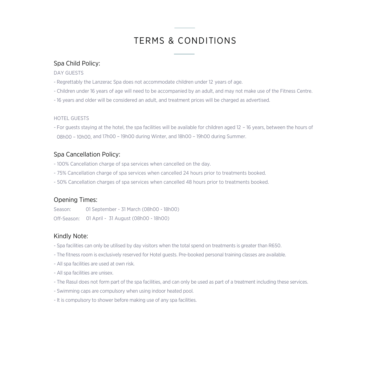## TERMS & CONDITIONS

### Spa Child Policy:

DAY GUESTS

- Regrettably the Lanzerac Spa does not accommodate children under 12 years of age.
- Children under 16 years of age will need to be accompanied by an adult, and may not make use of the Fitness Centre.
- 16 years and older will be considered an adult, and treatment prices will be charged as advertised.

### HOTEL GUESTS

- For guests staying at the hotel, the spa facilities will be available for children aged 12 – 16 years, between the hours of 08h00 – 10h00, and 17h00 – 19h00 during Winter, and 18h00 – 19h00 during Summer.

## Spa Cancellation Policy:

- 100% Cancellation charge of spa services when cancelled on the day.
- 75% Cancellation charge of spa services when cancelled 24 hours prior to treatments booked.
- 50% Cancellation charges of spa services when cancelled 48 hours prior to treatments booked.

### Opening Times:

Season: 01 September - 31 March (08h00 - 18h00) Off-Season: 01 April - 31 August (08h00 - 18h00)

### Kindly Note:

- Spa facilities can only be utilised by day visitors when the total spend on treatments is greater than R650.
- The fitness room is exclusively reserved for Hotel guests. Pre-booked personal training classes are available.
- All spa facilities are used at own risk.
- All spa facilities are unisex.
- The Rasul does not form part of the spa facilities, and can only be used as part of a treatment including these services.
- Swimming caps are compulsory when using indoor heated pool.
- It is compulsory to shower before making use of any spa facilities.